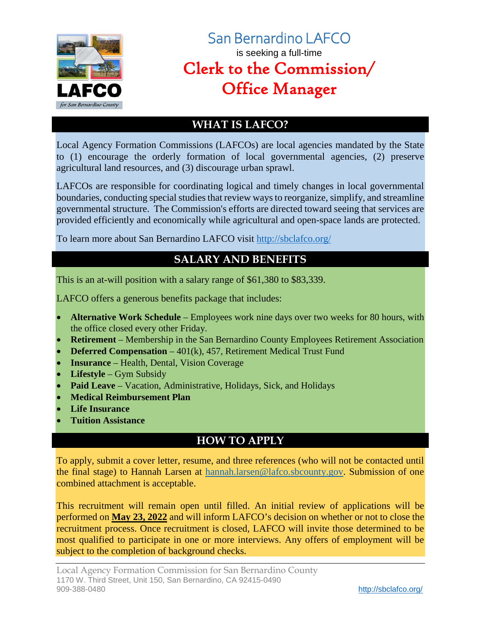

# San Bernardino LAFCO is seeking a full-time Clerk to the Commission/ Office Manager

## **WHAT IS LAFCO?**

Local Agency Formation Commissions (LAFCOs) are local agencies mandated by the State to (1) encourage the orderly formation of local governmental agencies, (2) preserve agricultural land resources, and (3) discourage urban sprawl.

LAFCOs are responsible for coordinating logical and timely changes in local governmental boundaries, conducting special studies that review ways to reorganize, simplify, and streamline governmental structure. The Commission's efforts are directed toward seeing that services are provided efficiently and economically while agricultural and open-space lands are protected.

To learn more about San Bernardino LAFCO visit<http://sbclafco.org/>

## **SALARY AND BENEFITS**

This is an at-will position with a salary range of \$61,380 to \$83,339.

LAFCO offers a generous benefits package that includes:

- **Alternative Work Schedule** Employees work nine days over two weeks for 80 hours, with the office closed every other Friday.
- **Retirement** Membership in the San Bernardino County Employees Retirement Association
- **Deferred Compensation** 401(k), 457, Retirement Medical Trust Fund
- **Insurance** Health, Dental, Vision Coverage
- **Lifestyle** Gym Subsidy
- **Paid Leave** Vacation, Administrative, Holidays, Sick, and Holidays
- **Medical Reimbursement Plan**
- **Life Insurance**
- **Tuition Assistance**

## **HOW TO APPLY**

To apply, submit a cover letter, resume, and three references (who will not be contacted until the final stage) to Hannah Larsen at [hannah.larsen@lafco.sbcounty.gov.](mailto:hannah.larsen@lafco.sbcounty.gov) Submission of one combined attachment is acceptable.

This recruitment will remain open until filled. An initial review of applications will be performed on **May 23, 2022** and will inform LAFCO's decision on whether or not to close the recruitment process. Once recruitment is closed, LAFCO will invite those determined to be most qualified to participate in one or more interviews. Any offers of employment will be subject to the completion of background checks.